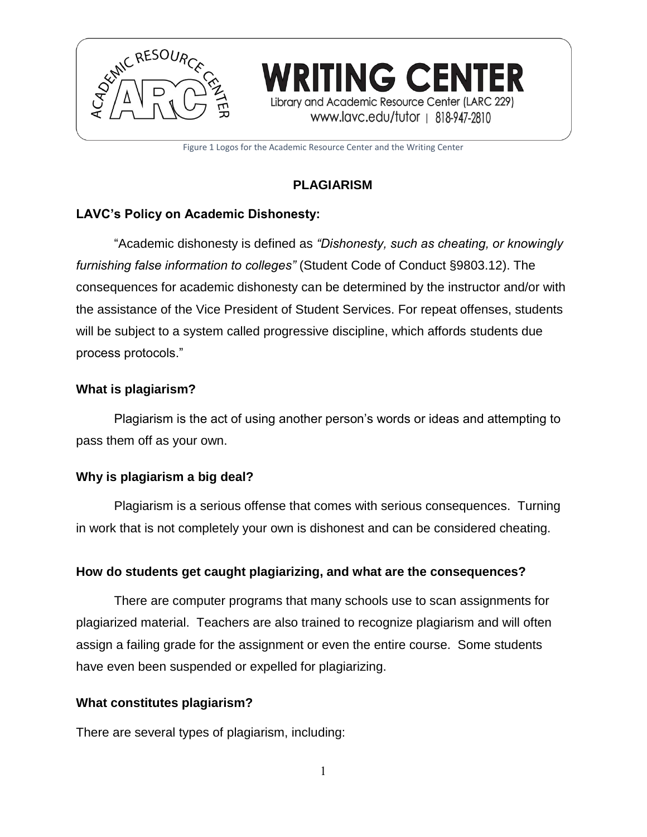

Figure 1 Logos for the Academic Resource Center and the Writing Center

# **PLAGIARISM**

## **LAVC's Policy on Academic Dishonesty:**

"Academic dishonesty is defined as *"Dishonesty, such as cheating, or knowingly furnishing false information to colleges"* (Student Code of Conduct §9803.12). The consequences for academic dishonesty can be determined by the instructor and/or with the assistance of the Vice President of Student Services. For repeat offenses, students will be subject to a system called progressive discipline, which affords students due process protocols."

### **What is plagiarism?**

Plagiarism is the act of using another person's words or ideas and attempting to pass them off as your own.

#### **Why is plagiarism a big deal?**

Plagiarism is a serious offense that comes with serious consequences. Turning in work that is not completely your own is dishonest and can be considered cheating.

## **How do students get caught plagiarizing, and what are the consequences?**

There are computer programs that many schools use to scan assignments for plagiarized material. Teachers are also trained to recognize plagiarism and will often assign a failing grade for the assignment or even the entire course. Some students have even been suspended or expelled for plagiarizing.

#### **What constitutes plagiarism?**

There are several types of plagiarism, including: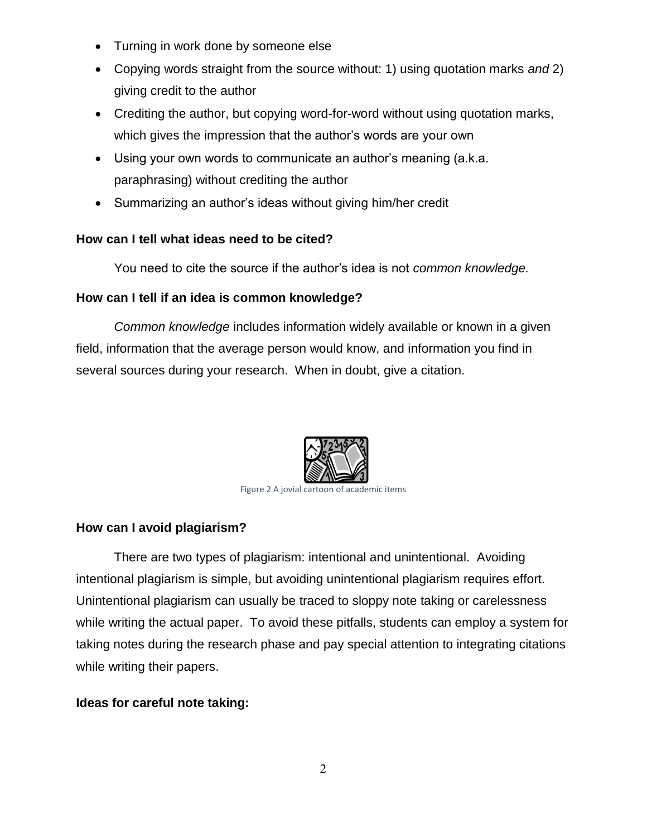- Turning in work done by someone else
- Copying words straight from the source without: 1) using quotation marks *and* 2) giving credit to the author
- Crediting the author, but copying word-for-word without using quotation marks, which gives the impression that the author's words are your own
- Using your own words to communicate an author's meaning (a.k.a. paraphrasing) without crediting the author
- Summarizing an author's ideas without giving him/her credit

## **How can I tell what ideas need to be cited?**

You need to cite the source if the author's idea is not *common knowledge.*

### **How can I tell if an idea is common knowledge?**

*Common knowledge* includes information widely available or known in a given field, information that the average person would know, and information you find in several sources during your research. When in doubt, give a citation.



Figure 2 A jovial cartoon of academic items

# **How can I avoid plagiarism?**

There are two types of plagiarism: intentional and unintentional. Avoiding intentional plagiarism is simple, but avoiding unintentional plagiarism requires effort. Unintentional plagiarism can usually be traced to sloppy note taking or carelessness while writing the actual paper. To avoid these pitfalls, students can employ a system for taking notes during the research phase and pay special attention to integrating citations while writing their papers.

## **Ideas for careful note taking:**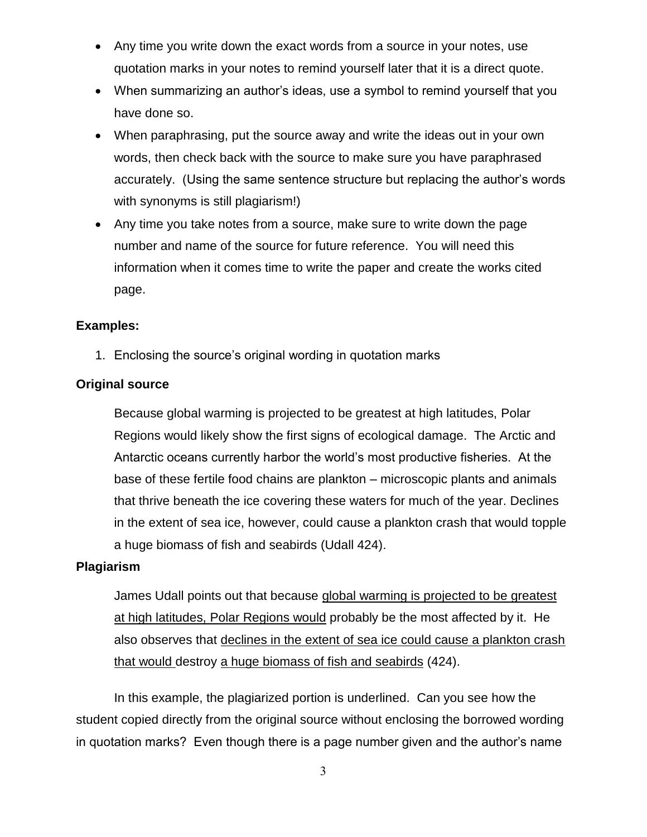- Any time you write down the exact words from a source in your notes, use quotation marks in your notes to remind yourself later that it is a direct quote.
- When summarizing an author's ideas, use a symbol to remind yourself that you have done so.
- When paraphrasing, put the source away and write the ideas out in your own words, then check back with the source to make sure you have paraphrased accurately. (Using the same sentence structure but replacing the author's words with synonyms is still plagiarism!)
- Any time you take notes from a source, make sure to write down the page number and name of the source for future reference. You will need this information when it comes time to write the paper and create the works cited page.

#### **Examples:**

1. Enclosing the source's original wording in quotation marks

## **Original source**

Because global warming is projected to be greatest at high latitudes, Polar Regions would likely show the first signs of ecological damage. The Arctic and Antarctic oceans currently harbor the world's most productive fisheries. At the base of these fertile food chains are plankton – microscopic plants and animals that thrive beneath the ice covering these waters for much of the year. Declines in the extent of sea ice, however, could cause a plankton crash that would topple a huge biomass of fish and seabirds (Udall 424).

## **Plagiarism**

James Udall points out that because global warming is projected to be greatest at high latitudes, Polar Regions would probably be the most affected by it. He also observes that declines in the extent of sea ice could cause a plankton crash that would destroy a huge biomass of fish and seabirds (424).

In this example, the plagiarized portion is underlined. Can you see how the student copied directly from the original source without enclosing the borrowed wording in quotation marks? Even though there is a page number given and the author's name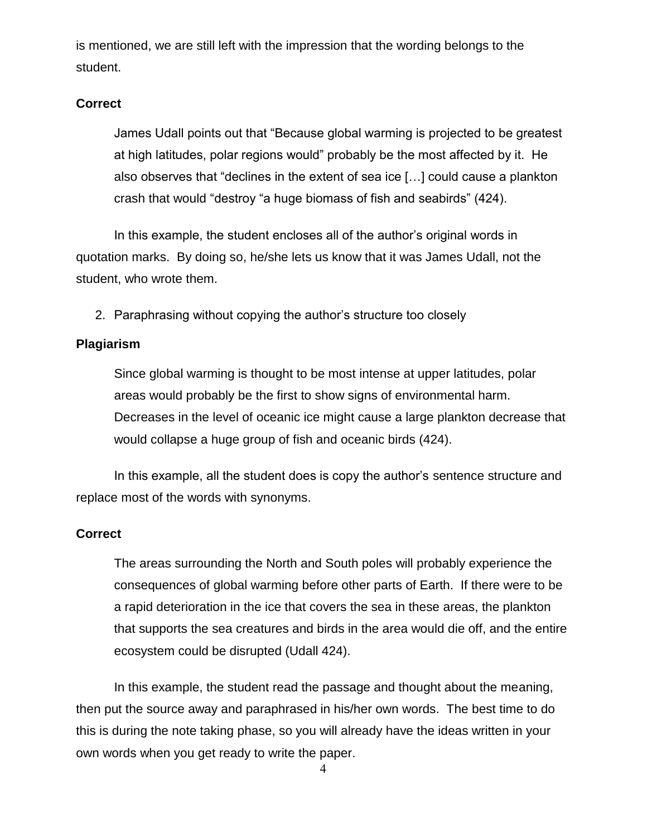is mentioned, we are still left with the impression that the wording belongs to the student.

#### **Correct**

James Udall points out that "Because global warming is projected to be greatest at high latitudes, polar regions would" probably be the most affected by it. He also observes that "declines in the extent of sea ice […] could cause a plankton crash that would "destroy "a huge biomass of fish and seabirds" (424).

In this example, the student encloses all of the author's original words in quotation marks. By doing so, he/she lets us know that it was James Udall, not the student, who wrote them.

2. Paraphrasing without copying the author's structure too closely

#### **Plagiarism**

Since global warming is thought to be most intense at upper latitudes, polar areas would probably be the first to show signs of environmental harm. Decreases in the level of oceanic ice might cause a large plankton decrease that would collapse a huge group of fish and oceanic birds (424).

In this example, all the student does is copy the author's sentence structure and replace most of the words with synonyms.

#### **Correct**

The areas surrounding the North and South poles will probably experience the consequences of global warming before other parts of Earth. If there were to be a rapid deterioration in the ice that covers the sea in these areas, the plankton that supports the sea creatures and birds in the area would die off, and the entire ecosystem could be disrupted (Udall 424).

In this example, the student read the passage and thought about the meaning, then put the source away and paraphrased in his/her own words. The best time to do this is during the note taking phase, so you will already have the ideas written in your own words when you get ready to write the paper.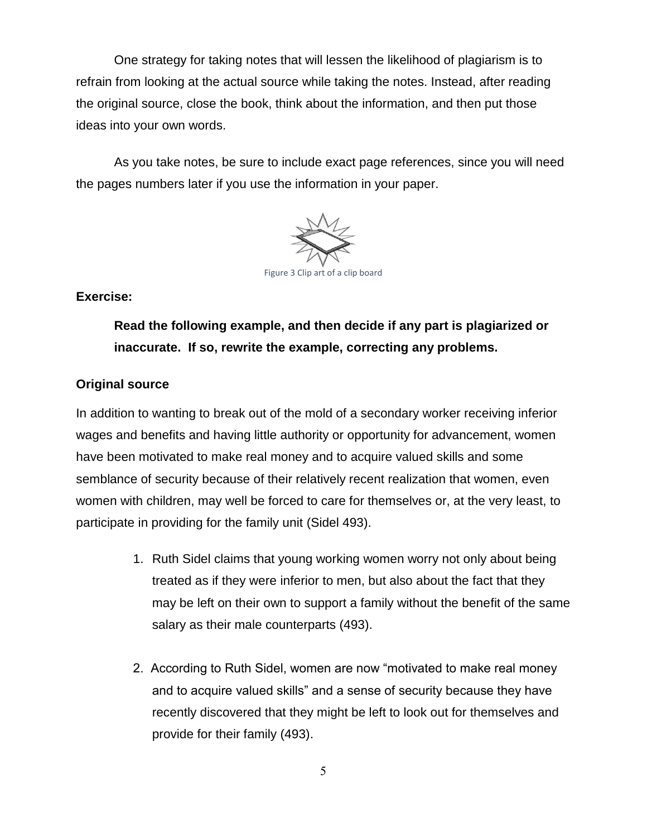One strategy for taking notes that will lessen the likelihood of plagiarism is to refrain from looking at the actual source while taking the notes. Instead, after reading the original source, close the book, think about the information, and then put those ideas into your own words.

As you take notes, be sure to include exact page references, since you will need the pages numbers later if you use the information in your paper.



#### **Exercise:**

**Read the following example, and then decide if any part is plagiarized or inaccurate. If so, rewrite the example, correcting any problems.**

### **Original source**

In addition to wanting to break out of the mold of a secondary worker receiving inferior wages and benefits and having little authority or opportunity for advancement, women have been motivated to make real money and to acquire valued skills and some semblance of security because of their relatively recent realization that women, even women with children, may well be forced to care for themselves or, at the very least, to participate in providing for the family unit (Sidel 493).

- 1. Ruth Sidel claims that young working women worry not only about being treated as if they were inferior to men, but also about the fact that they may be left on their own to support a family without the benefit of the same salary as their male counterparts (493).
- 2. According to Ruth Sidel, women are now "motivated to make real money and to acquire valued skills" and a sense of security because they have recently discovered that they might be left to look out for themselves and provide for their family (493).